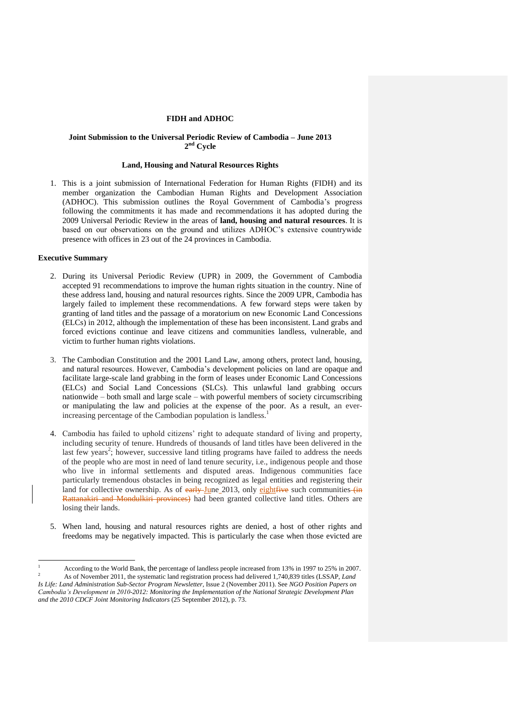# **FIDH and ADHOC**

# **Joint Submission to the Universal Periodic Review of Cambodia – June 2013 2 nd Cycle**

## **Land, Housing and Natural Resources Rights**

1. This is a joint submission of International Federation for Human Rights (FIDH) and its member organization the Cambodian Human Rights and Development Association (ADHOC). This submission outlines the Royal Government of Cambodia's progress following the commitments it has made and recommendations it has adopted during the 2009 Universal Periodic Review in the areas of **land, housing and natural resources**. It is based on our observations on the ground and utilizes ADHOC's extensive countrywide presence with offices in 23 out of the 24 provinces in Cambodia.

## **Executive Summary**

- 2. During its Universal Periodic Review (UPR) in 2009, the Government of Cambodia accepted 91 recommendations to improve the human rights situation in the country. Nine of these address land, housing and natural resources rights. Since the 2009 UPR, Cambodia has largely failed to implement these recommendations. A few forward steps were taken by granting of land titles and the passage of a moratorium on new Economic Land Concessions (ELCs) in 2012, although the implementation of these has been inconsistent. Land grabs and forced evictions continue and leave citizens and communities landless, vulnerable, and victim to further human rights violations.
- 3. The Cambodian Constitution and the 2001 Land Law, among others, protect land, housing, and natural resources. However, Cambodia's development policies on land are opaque and facilitate large-scale land grabbing in the form of leases under Economic Land Concessions (ELCs) and Social Land Concessions (SLCs). This unlawful land grabbing occurs nationwide – both small and large scale – with powerful members of society circumscribing or manipulating the law and policies at the expense of the poor. As a result, an everincreasing percentage of the Cambodian population is landless.<sup>1</sup>
- 4. Cambodia has failed to uphold citizens' right to adequate standard of living and property, including security of tenure. Hundreds of thousands of land titles have been delivered in the last few years<sup>2</sup>; however, successive land titling programs have failed to address the needs of the people who are most in need of land tenure security, i.e., indigenous people and those who live in informal settlements and disputed areas. Indigenous communities face particularly tremendous obstacles in being recognized as legal entities and registering their land for collective ownership. As of early June 2013, only eightfive such communities (in Rattanakiri and Mondulkiri provinces) had been granted collective land titles. Others are losing their lands.
- 5. When land, housing and natural resources rights are denied, a host of other rights and freedoms may be negatively impacted. This is particularly the case when those evicted are

<sup>1</sup> According to the World Bank, the percentage of landless people increased from 13% in 1997 to 25% in 2007. <sup>2</sup> As of November 2011, the systematic land registration process had delivered 1,740,839 titles (LSSAP, *Land* 

*Is Life: Land Administration Sub-Sector Program Newsletter,* Issue 2 (November 2011). See *NGO Position Papers on Cambodia's Development in 2010-2012: Monitoring the Implementation of the National Strategic Development Plan and the 2010 CDCF Joint Monitoring Indicators* (25 September 2012), p. 73.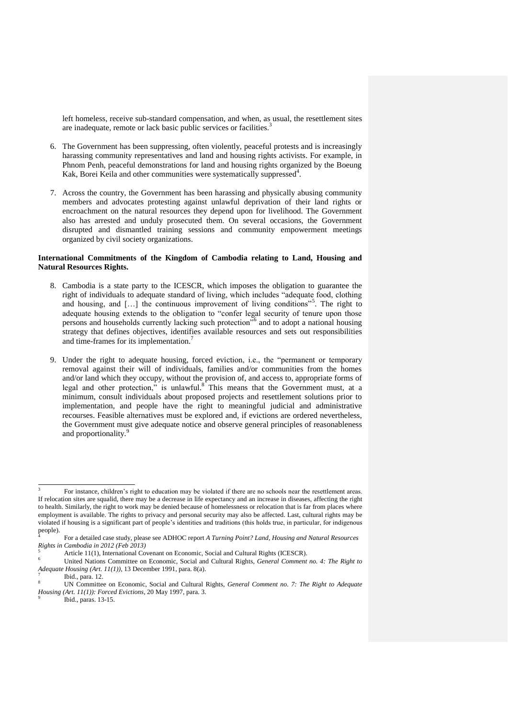left homeless, receive sub-standard compensation, and when, as usual, the resettlement sites are inadequate, remote or lack basic public services or facilities.<sup>3</sup>

- 6. The Government has been suppressing, often violently, peaceful protests and is increasingly harassing community representatives and land and housing rights activists. For example, in Phnom Penh, peaceful demonstrations for land and housing rights organized by the Boeung Kak, Borei Keila and other communities were systematically suppressed<sup>4</sup>.
- 7. Across the country, the Government has been harassing and physically abusing community members and advocates protesting against unlawful deprivation of their land rights or encroachment on the natural resources they depend upon for livelihood. The Government also has arrested and unduly prosecuted them. On several occasions, the Government disrupted and dismantled training sessions and community empowerment meetings organized by civil society organizations.

## **International Commitments of the Kingdom of Cambodia relating to Land, Housing and Natural Resources Rights.**

- 8. Cambodia is a state party to the ICESCR, which imposes the obligation to guarantee the right of individuals to adequate standard of living, which includes "adequate food, clothing and housing, and [...] the continuous improvement of living conditions"<sup>5</sup>. The right to adequate housing extends to the obligation to "confer legal security of tenure upon those persons and households currently lacking such protection<sup>76</sup> and to adopt a national housing strategy that defines objectives, identifies available resources and sets out responsibilities and time-frames for its implementation.<sup>7</sup>
- 9. Under the right to adequate housing, forced eviction, i.e., the "permanent or temporary removal against their will of individuals, families and/or communities from the homes and/or land which they occupy, without the provision of, and access to, appropriate forms of legal and other protection," is unlawful.<sup>8</sup> This means that the Government must, at a minimum, consult individuals about proposed projects and resettlement solutions prior to implementation, and people have the right to meaningful judicial and administrative recourses. Feasible alternatives must be explored and, if evictions are ordered nevertheless, the Government must give adequate notice and observe general principles of reasonableness and proportionality.<sup>9</sup>

<sup>3</sup> For instance, children's right to education may be violated if there are no schools near the resettlement areas. If relocation sites are squalid, there may be a decrease in life expectancy and an increase in diseases, affecting the right to health. Similarly, the right to work may be denied because of homelessness or relocation that is far from places where employment is available. The rights to privacy and personal security may also be affected. Last, cultural rights may be violated if housing is a significant part of people's identities and traditions (this holds true, in particular, for indigenous people). 4

For a detailed case study, please see ADHOC report *A Turning Point? Land, Housing and Natural Resources Rights in Cambodia in 2012 (Feb 2013)*

<sup>5</sup> Article 11(1), International Covenant on Economic, Social and Cultural Rights (ICESCR).

<sup>6</sup> United Nations Committee on Economic, Social and Cultural Rights, *General Comment no. 4: The Right to Adequate Housing (Art. 11(1))*, 13 December 1991, para. 8(a).

<sup>7</sup> Ibid., para. 12.

<sup>8</sup> UN Committee on Economic, Social and Cultural Rights, *General Comment no. 7: The Right to Adequate Housing (Art. 11(1)): Forced Evictions*, 20 May 1997, para. 3.

<sup>9</sup> Ibid., paras. 13-15.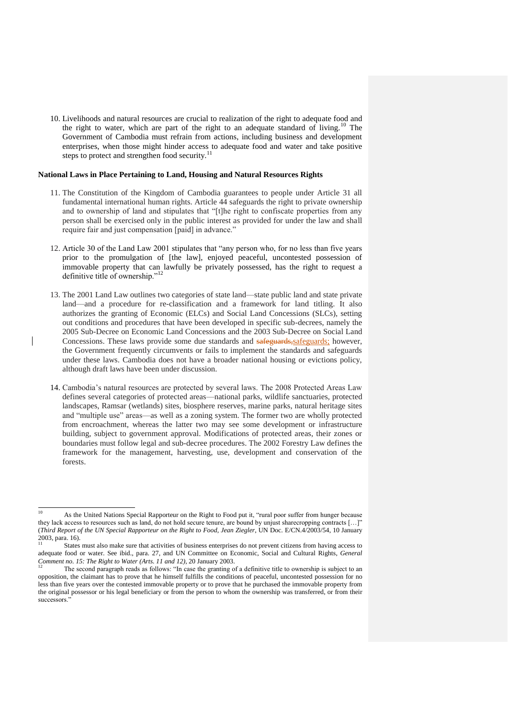10. Livelihoods and natural resources are crucial to realization of the right to adequate food and the right to water, which are part of the right to an adequate standard of living.<sup>10</sup> The Government of Cambodia must refrain from actions, including business and development enterprises, when those might hinder access to adequate food and water and take positive steps to protect and strengthen food security. $^{11}$ 

#### **National Laws in Place Pertaining to Land, Housing and Natural Resources Rights**

- 11. The Constitution of the Kingdom of Cambodia guarantees to people under Article 31 all fundamental international human rights. Article 44 safeguards the right to private ownership and to ownership of land and stipulates that "[t]he right to confiscate properties from any person shall be exercised only in the public interest as provided for under the law and shall require fair and just compensation [paid] in advance."
- 12. Article 30 of the Land Law 2001 stipulates that "any person who, for no less than five years prior to the promulgation of [the law], enjoyed peaceful, uncontested possession of immovable property that can lawfully be privately possessed, has the right to request a definitive title of ownership."<sup>12</sup>
- 13. The 2001 Land Law outlines two categories of state land—state public land and state private land—and a procedure for re-classification and a framework for land titling. It also authorizes the granting of Economic (ELCs) and Social Land Concessions (SLCs), setting out conditions and procedures that have been developed in specific sub-decrees, namely the 2005 Sub-Decree on Economic Land Concessions and the 2003 Sub-Decree on Social Land Concessions. These laws provide some due standards and safeguards, safeguards; however, the Government frequently circumvents or fails to implement the standards and safeguards under these laws. Cambodia does not have a broader national housing or evictions policy, although draft laws have been under discussion.
- 14. Cambodia's natural resources are protected by several laws. The 2008 Protected Areas Law defines several categories of protected areas—national parks, wildlife sanctuaries, protected landscapes, Ramsar (wetlands) sites, biosphere reserves, marine parks, natural heritage sites and "multiple use" areas—as well as a zoning system. The former two are wholly protected from encroachment, whereas the latter two may see some development or infrastructure building, subject to government approval. Modifications of protected areas, their zones or boundaries must follow legal and sub-decree procedures. The 2002 Forestry Law defines the framework for the management, harvesting, use, development and conservation of the forests.

l

<sup>10</sup> As the United Nations Special Rapporteur on the Right to Food put it, "rural poor suffer from hunger because they lack access to resources such as land, do not hold secure tenure, are bound by unjust sharecropping contracts […]" (*Third Report of the UN Special Rapporteur on the Right to Food, Jean Ziegler*, UN Doc. E/CN.4/2003/54, 10 January 2003, para. 16).

States must also make sure that activities of business enterprises do not prevent citizens from having access to adequate food or water. See ibid., para. 27, and UN Committee on Economic, Social and Cultural Rights, *General Comment no. 15: The Right to Water (Arts. 11 and 12)*, 20 January 2003.

<sup>12</sup> The second paragraph reads as follows: "In case the granting of a definitive title to ownership is subject to an opposition, the claimant has to prove that he himself fulfills the conditions of peaceful, uncontested possession for no less than five years over the contested immovable property or to prove that he purchased the immovable property from the original possessor or his legal beneficiary or from the person to whom the ownership was transferred, or from their successors."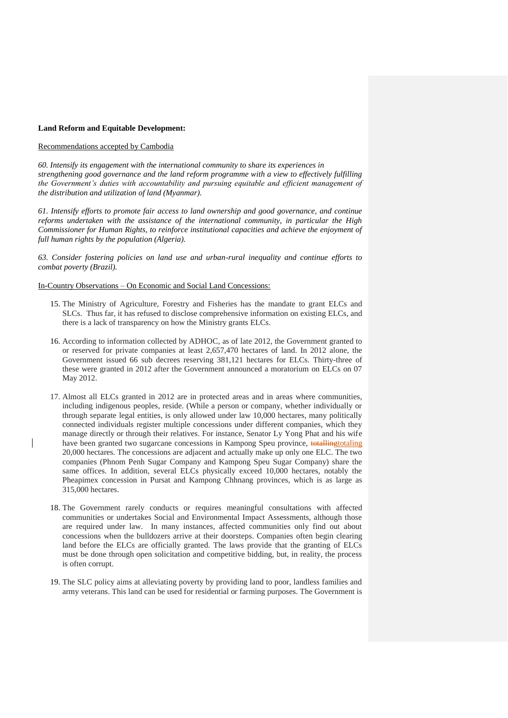### **Land Reform and Equitable Development:**

# Recommendations accepted by Cambodia

*60. Intensify its engagement with the international community to share its experiences in strengthening good governance and the land reform programme with a view to effectively fulfilling the Government's duties with accountability and pursuing equitable and efficient management of the distribution and utilization of land (Myanmar).* 

*61. Intensify efforts to promote fair access to land ownership and good governance, and continue reforms undertaken with the assistance of the international community, in particular the High Commissioner for Human Rights, to reinforce institutional capacities and achieve the enjoyment of full human rights by the population (Algeria).* 

*63. Consider fostering policies on land use and urban-rural inequality and continue efforts to combat poverty (Brazil).*

### In-Country Observations – On Economic and Social Land Concessions:

- 15. The Ministry of Agriculture, Forestry and Fisheries has the mandate to grant ELCs and SLCs. Thus far, it has refused to disclose comprehensive information on existing ELCs, and there is a lack of transparency on how the Ministry grants ELCs.
- 16. According to information collected by ADHOC, as of late 2012, the Government granted to or reserved for private companies at least 2,657,470 hectares of land. In 2012 alone, the Government issued 66 sub decrees reserving 381,121 hectares for ELCs. Thirty-three of these were granted in 2012 after the Government announced a moratorium on ELCs on 07 May 2012.
- 17. Almost all ELCs granted in 2012 are in protected areas and in areas where communities, including indigenous peoples, reside. (While a person or company, whether individually or through separate legal entities, is only allowed under law 10,000 hectares, many politically connected individuals register multiple concessions under different companies, which they manage directly or through their relatives. For instance, Senator Ly Yong Phat and his wife have been granted two sugarcane concessions in Kampong Speu province, totallingtotaling 20,000 hectares. The concessions are adjacent and actually make up only one ELC. The two companies (Phnom Penh Sugar Company and Kampong Speu Sugar Company) share the same offices. In addition, several ELCs physically exceed 10,000 hectares, notably the Pheapimex concession in Pursat and Kampong Chhnang provinces, which is as large as 315,000 hectares.
- 18. The Government rarely conducts or requires meaningful consultations with affected communities or undertakes Social and Environmental Impact Assessments, although those are required under law. In many instances, affected communities only find out about concessions when the bulldozers arrive at their doorsteps. Companies often begin clearing land before the ELCs are officially granted. The laws provide that the granting of ELCs must be done through open solicitation and competitive bidding, but, in reality, the process is often corrupt.
- 19. The SLC policy aims at alleviating poverty by providing land to poor, landless families and army veterans. This land can be used for residential or farming purposes. The Government is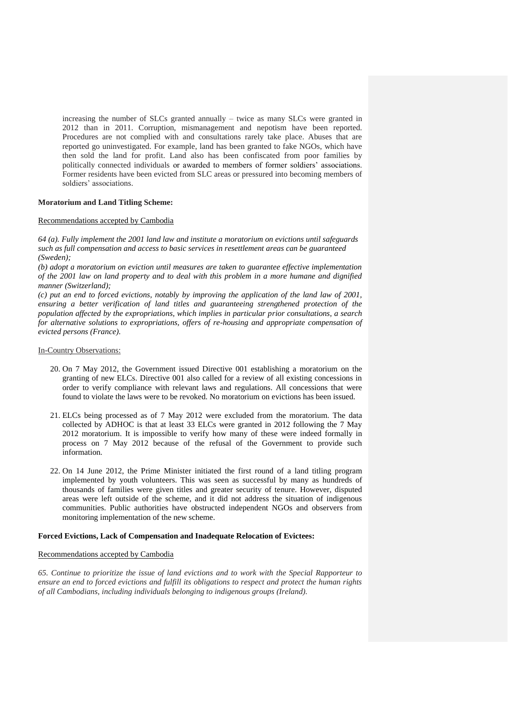increasing the number of SLCs granted annually – twice as many SLCs were granted in 2012 than in 2011. Corruption, mismanagement and nepotism have been reported. Procedures are not complied with and consultations rarely take place. Abuses that are reported go uninvestigated. For example, land has been granted to fake NGOs, which have then sold the land for profit. Land also has been confiscated from poor families by politically connected individuals or awarded to members of former soldiers' associations. Former residents have been evicted from SLC areas or pressured into becoming members of soldiers' associations.

## **Moratorium and Land Titling Scheme:**

# Recommendations accepted by Cambodia

*64 (a). Fully implement the 2001 land law and institute a moratorium on evictions until safeguards such as full compensation and access to basic services in resettlement areas can be guaranteed (Sweden);* 

*(b) adopt a moratorium on eviction until measures are taken to guarantee effective implementation of the 2001 law on land property and to deal with this problem in a more humane and dignified manner (Switzerland);* 

*(c) put an end to forced evictions, notably by improving the application of the land law of 2001, ensuring a better verification of land titles and guaranteeing strengthened protection of the population affected by the expropriations, which implies in particular prior consultations, a search for alternative solutions to expropriations, offers of re-housing and appropriate compensation of evicted persons (France).*

## In-Country Observations:

- 20. On 7 May 2012, the Government issued Directive 001 establishing a moratorium on the granting of new ELCs. Directive 001 also called for a review of all existing concessions in order to verify compliance with relevant laws and regulations. All concessions that were found to violate the laws were to be revoked. No moratorium on evictions has been issued.
- 21. ELCs being processed as of 7 May 2012 were excluded from the moratorium. The data collected by ADHOC is that at least 33 ELCs were granted in 2012 following the 7 May 2012 moratorium. It is impossible to verify how many of these were indeed formally in process on 7 May 2012 because of the refusal of the Government to provide such information.
- 22. On 14 June 2012, the Prime Minister initiated the first round of a land titling program implemented by youth volunteers. This was seen as successful by many as hundreds of thousands of families were given titles and greater security of tenure. However, disputed areas were left outside of the scheme, and it did not address the situation of indigenous communities. Public authorities have obstructed independent NGOs and observers from monitoring implementation of the new scheme.

# **Forced Evictions, Lack of Compensation and Inadequate Relocation of Evictees:**

## Recommendations accepted by Cambodia

*65. Continue to prioritize the issue of land evictions and to work with the Special Rapporteur to ensure an end to forced evictions and fulfill its obligations to respect and protect the human rights of all Cambodians, including individuals belonging to indigenous groups (Ireland).*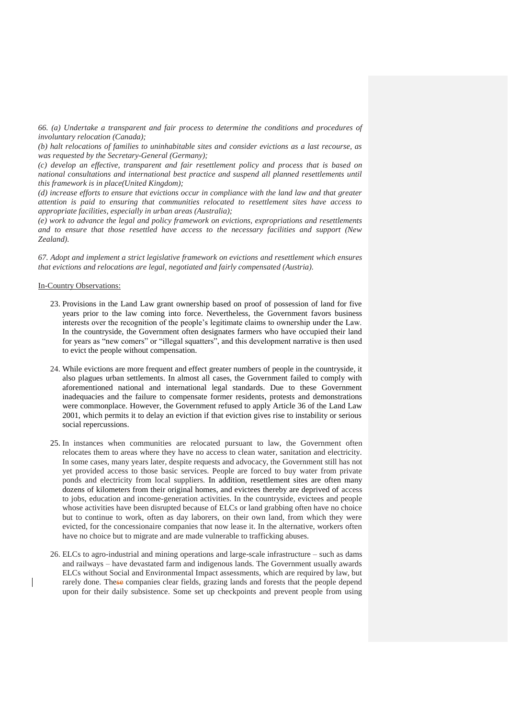*66. (a) Undertake a transparent and fair process to determine the conditions and procedures of involuntary relocation (Canada);*

*(b) halt relocations of families to uninhabitable sites and consider evictions as a last recourse, as was requested by the Secretary-General (Germany);* 

*(c) develop an effective, transparent and fair resettlement policy and process that is based on national consultations and international best practice and suspend all planned resettlements until this framework is in place(United Kingdom);* 

*(d) increase efforts to ensure that evictions occur in compliance with the land law and that greater attention is paid to ensuring that communities relocated to resettlement sites have access to appropriate facilities, especially in urban areas (Australia);* 

*(e) work to advance the legal and policy framework on evictions, expropriations and resettlements and to ensure that those resettled have access to the necessary facilities and support (New Zealand).*

*67. Adopt and implement a strict legislative framework on evictions and resettlement which ensures that evictions and relocations are legal, negotiated and fairly compensated (Austria).*

### In-Country Observations:

- 23. Provisions in the Land Law grant ownership based on proof of possession of land for five years prior to the law coming into force. Nevertheless, the Government favors business interests over the recognition of the people's legitimate claims to ownership under the Law. In the countryside, the Government often designates farmers who have occupied their land for years as "new comers" or "illegal squatters", and this development narrative is then used to evict the people without compensation.
- 24. While evictions are more frequent and effect greater numbers of people in the countryside, it also plagues urban settlements. In almost all cases, the Government failed to comply with aforementioned national and international legal standards. Due to these Government inadequacies and the failure to compensate former residents, protests and demonstrations were commonplace. However, the Government refused to apply Article 36 of the Land Law 2001, which permits it to delay an eviction if that eviction gives rise to instability or serious social repercussions.
- 25. In instances when communities are relocated pursuant to law, the Government often relocates them to areas where they have no access to clean water, sanitation and electricity. In some cases, many years later, despite requests and advocacy, the Government still has not yet provided access to those basic services. People are forced to buy water from private ponds and electricity from local suppliers. In addition, resettlement sites are often many dozens of kilometers from their original homes, and evictees thereby are deprived of access to jobs, education and income-generation activities. In the countryside, evictees and people whose activities have been disrupted because of ELCs or land grabbing often have no choice but to continue to work, often as day laborers, on their own land, from which they were evicted, for the concessionaire companies that now lease it. In the alternative, workers often have no choice but to migrate and are made vulnerable to trafficking abuses.
- 26. ELCs to agro-industrial and mining operations and large-scale infrastructure such as dams and railways – have devastated farm and indigenous lands. The Government usually awards ELCs without Social and Environmental Impact assessments, which are required by law, but rarely done. These companies clear fields, grazing lands and forests that the people depend upon for their daily subsistence. Some set up checkpoints and prevent people from using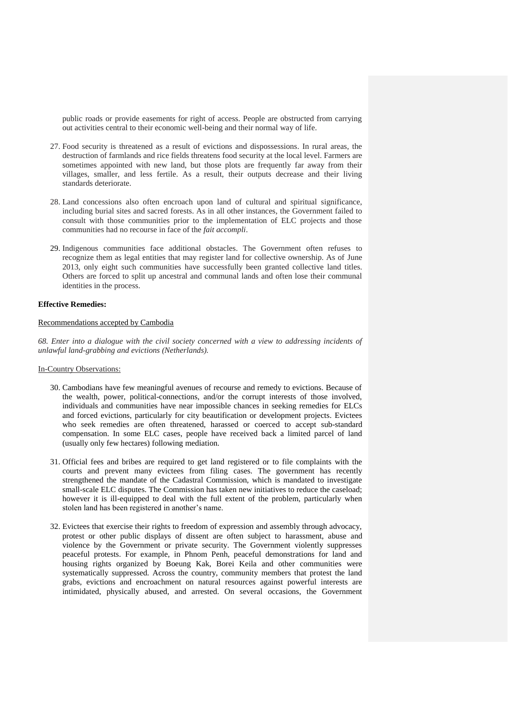public roads or provide easements for right of access. People are obstructed from carrying out activities central to their economic well-being and their normal way of life.

- 27. Food security is threatened as a result of evictions and dispossessions. In rural areas, the destruction of farmlands and rice fields threatens food security at the local level. Farmers are sometimes appointed with new land, but those plots are frequently far away from their villages, smaller, and less fertile. As a result, their outputs decrease and their living standards deteriorate.
- 28. Land concessions also often encroach upon land of cultural and spiritual significance, including burial sites and sacred forests. As in all other instances, the Government failed to consult with those communities prior to the implementation of ELC projects and those communities had no recourse in face of the *fait accompli*.
- 29. Indigenous communities face additional obstacles. The Government often refuses to recognize them as legal entities that may register land for collective ownership. As of June 2013, only eight such communities have successfully been granted collective land titles. Others are forced to split up ancestral and communal lands and often lose their communal identities in the process.

# **Effective Remedies:**

### Recommendations accepted by Cambodia

*68. Enter into a dialogue with the civil society concerned with a view to addressing incidents of unlawful land-grabbing and evictions (Netherlands).*

# In-Country Observations:

- 30. Cambodians have few meaningful avenues of recourse and remedy to evictions. Because of the wealth, power, political-connections, and/or the corrupt interests of those involved, individuals and communities have near impossible chances in seeking remedies for ELCs and forced evictions, particularly for city beautification or development projects. Evictees who seek remedies are often threatened, harassed or coerced to accept sub-standard compensation. In some ELC cases, people have received back a limited parcel of land (usually only few hectares) following mediation.
- 31. Official fees and bribes are required to get land registered or to file complaints with the courts and prevent many evictees from filing cases. The government has recently strengthened the mandate of the Cadastral Commission, which is mandated to investigate small-scale ELC disputes. The Commission has taken new initiatives to reduce the caseload; however it is ill-equipped to deal with the full extent of the problem, particularly when stolen land has been registered in another's name.
- 32. Evictees that exercise their rights to freedom of expression and assembly through advocacy, protest or other public displays of dissent are often subject to harassment, abuse and violence by the Government or private security. The Government violently suppresses peaceful protests. For example, in Phnom Penh, peaceful demonstrations for land and housing rights organized by Boeung Kak, Borei Keila and other communities were systematically suppressed. Across the country, community members that protest the land grabs, evictions and encroachment on natural resources against powerful interests are intimidated, physically abused, and arrested. On several occasions, the Government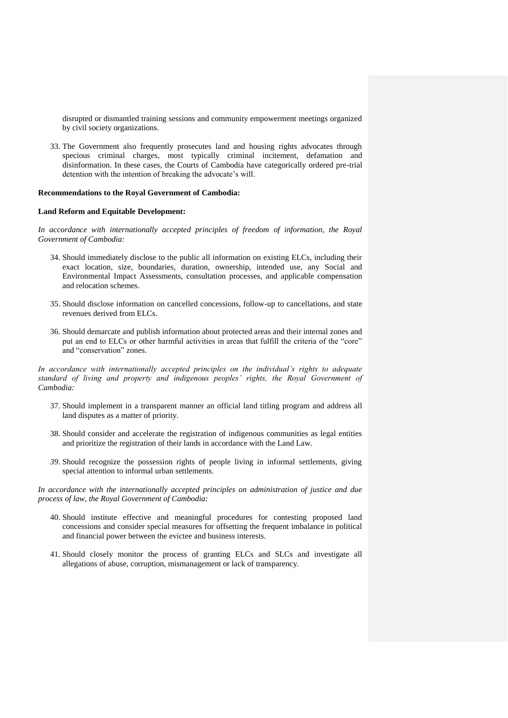disrupted or dismantled training sessions and community empowerment meetings organized by civil society organizations.

33. The Government also frequently prosecutes land and housing rights advocates through specious criminal charges, most typically criminal incitement, defamation and disinformation. In these cases, the Courts of Cambodia have categorically ordered pre-trial detention with the intention of breaking the advocate's will.

### **Recommendations to the Royal Government of Cambodia:**

#### **Land Reform and Equitable Development:**

In accordance with internationally accepted principles of freedom of information, the Royal *Government of Cambodia:*

- 34. Should immediately disclose to the public all information on existing ELCs, including their exact location, size, boundaries, duration, ownership, intended use, any Social and Environmental Impact Assessments, consultation processes, and applicable compensation and relocation schemes.
- 35. Should disclose information on cancelled concessions, follow-up to cancellations, and state revenues derived from ELCs.
- 36. Should demarcate and publish information about protected areas and their internal zones and put an end to ELCs or other harmful activities in areas that fulfill the criteria of the "core" and "conservation" zones.

*In accordance with internationally accepted principles on the individual's rights to adequate standard of living and property and indigenous peoples' rights, the Royal Government of Cambodia:*

- 37. Should implement in a transparent manner an official land titling program and address all land disputes as a matter of priority.
- 38. Should consider and accelerate the registration of indigenous communities as legal entities and prioritize the registration of their lands in accordance with the Land Law.
- *39.* Should recognize the possession rights of people living in informal settlements, giving special attention to informal urban settlements.

*In accordance with the internationally accepted principles on administration of justice and due process of law, the Royal Government of Cambodia:*

- 40. Should institute effective and meaningful procedures for contesting proposed land concessions and consider special measures for offsetting the frequent imbalance in political and financial power between the evictee and business interests.
- 41. Should closely monitor the process of granting ELCs and SLCs and investigate all allegations of abuse, corruption, mismanagement or lack of transparency.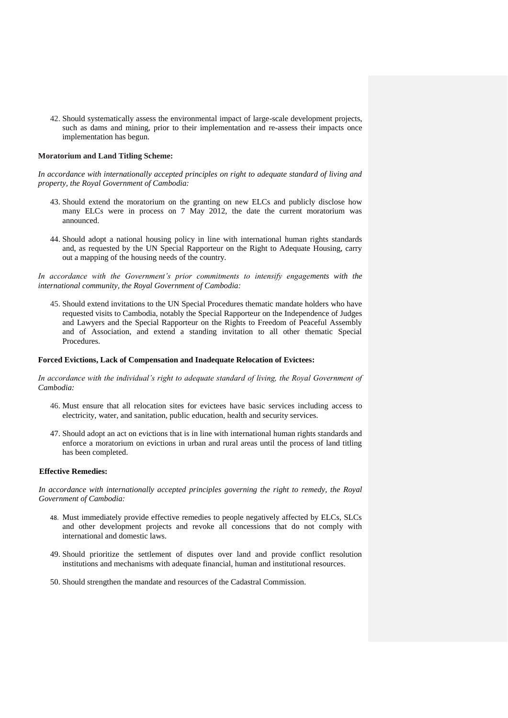42. Should systematically assess the environmental impact of large-scale development projects, such as dams and mining, prior to their implementation and re-assess their impacts once implementation has begun.

# **Moratorium and Land Titling Scheme:**

*In accordance with internationally accepted principles on right to adequate standard of living and property, the Royal Government of Cambodia:*

- 43. Should extend the moratorium on the granting on new ELCs and publicly disclose how many ELCs were in process on 7 May 2012, the date the current moratorium was announced.
- 44. Should adopt a national housing policy in line with international human rights standards and, as requested by the UN Special Rapporteur on the Right to Adequate Housing, carry out a mapping of the housing needs of the country.

In accordance with the Government's prior commitments to intensify engagements with the *international community, the Royal Government of Cambodia:*

45. Should extend invitations to the UN Special Procedures thematic mandate holders who have requested visits to Cambodia, notably the Special Rapporteur on the Independence of Judges and Lawyers and the Special Rapporteur on the Rights to Freedom of Peaceful Assembly and of Association, and extend a standing invitation to all other thematic Special Procedures.

# **Forced Evictions, Lack of Compensation and Inadequate Relocation of Evictees:**

*In accordance with the individual's right to adequate standard of living, the Royal Government of Cambodia:*

- 46. Must ensure that all relocation sites for evictees have basic services including access to electricity, water, and sanitation, public education, health and security services.
- 47. Should adopt an act on evictions that is in line with international human rights standards and enforce a moratorium on evictions in urban and rural areas until the process of land titling has been completed.

### **Effective Remedies:**

In accordance with internationally accepted principles governing the right to remedy, the Royal *Government of Cambodia:*

- 48. Must immediately provide effective remedies to people negatively affected by ELCs, SLCs and other development projects and revoke all concessions that do not comply with international and domestic laws.
- 49. Should prioritize the settlement of disputes over land and provide conflict resolution institutions and mechanisms with adequate financial, human and institutional resources.
- 50. Should strengthen the mandate and resources of the Cadastral Commission.